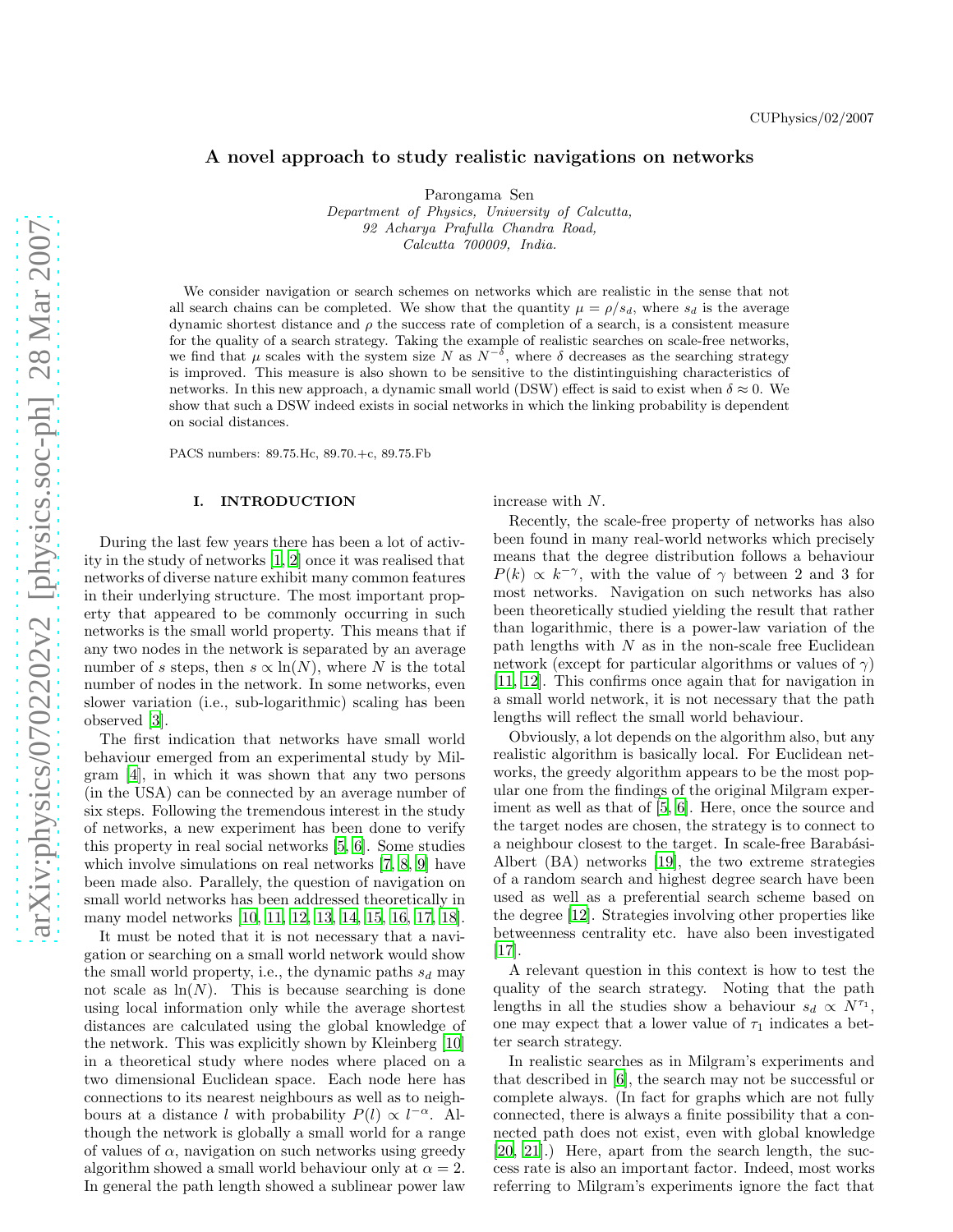# A novel approach to study realistic navigations on networks

Parongama Sen

Department of Physics, University of Calcutta, 92 Acharya Prafulla Chandra Road, Calcutta 700009, India.

We consider navigation or search schemes on networks which are realistic in the sense that not all search chains can be completed. We show that the quantity  $\mu = \rho/s_d$ , where  $s_d$  is the average dynamic shortest distance and  $\rho$  the success rate of completion of a search, is a consistent measure for the quality of a search strategy. Taking the example of realistic searches on scale-free networks, we find that  $\mu$  scales with the system size N as  $N^{-\delta}$ , where  $\delta$  decreases as the searching strategy is improved. This measure is also shown to be sensitive to the distintinguishing characteristics of networks. In this new approach, a dynamic small world (DSW) effect is said to exist when  $\delta \approx 0$ . We show that such a DSW indeed exists in social networks in which the linking probability is dependent on social distances.

PACS numbers: 89.75.Hc, 89.70.+c, 89.75.Fb

### I. INTRODUCTION

During the last few years there has been a lot of activity in the study of networks [\[1,](#page-6-0) [2](#page-6-1)] once it was realised that networks of diverse nature exhibit many common features in their underlying structure. The most important property that appeared to be commonly occurring in such networks is the small world property. This means that if any two nodes in the network is separated by an average number of s steps, then  $s \propto \ln(N)$ , where N is the total number of nodes in the network. In some networks, even slower variation (i.e., sub-logarithmic) scaling has been observed [\[3\]](#page-6-2).

The first indication that networks have small world behaviour emerged from an experimental study by Milgram [\[4](#page-6-3)], in which it was shown that any two persons (in the USA) can be connected by an average number of six steps. Following the tremendous interest in the study of networks, a new experiment has been done to verify this property in real social networks [\[5,](#page-6-4) [6\]](#page-6-5). Some studies which involve simulations on real networks [\[7](#page-6-6), [8](#page-6-7), [9](#page-6-8)] have been made also. Parallely, the question of navigation on small world networks has been addressed theoretically in many model networks [\[10](#page-6-9), [11](#page-6-10), [12](#page-6-11), [13](#page-6-12), [14,](#page-6-13) [15,](#page-6-14) [16,](#page-6-15) [17,](#page-6-16) [18\]](#page-6-17).

It must be noted that it is not necessary that a navigation or searching on a small world network would show the small world property, i.e., the dynamic paths  $s_d$  may not scale as  $\ln(N)$ . This is because searching is done using local information only while the average shortest distances are calculated using the global knowledge of the network. This was explicitly shown by Kleinberg [\[10](#page-6-9)] in a theoretical study where nodes where placed on a two dimensional Euclidean space. Each node here has connections to its nearest neighbours as well as to neighbours at a distance l with probability  $P(l) \propto l^{-\alpha}$ . Although the network is globally a small world for a range of values of  $\alpha$ , navigation on such networks using greedy algorithm showed a small world behaviour only at  $\alpha = 2$ . In general the path length showed a sublinear power law

increase with N.

Recently, the scale-free property of networks has also been found in many real-world networks which precisely means that the degree distribution follows a behaviour  $P(k) \propto k^{-\gamma}$ , with the value of  $\gamma$  between 2 and 3 for most networks. Navigation on such networks has also been theoretically studied yielding the result that rather than logarithmic, there is a power-law variation of the path lengths with  $N$  as in the non-scale free Euclidean network (except for particular algorithms or values of  $\gamma$ ) [\[11,](#page-6-10) [12\]](#page-6-11). This confirms once again that for navigation in a small world network, it is not necessary that the path lengths will reflect the small world behaviour.

Obviously, a lot depends on the algorithm also, but any realistic algorithm is basically local. For Euclidean networks, the greedy algorithm appears to be the most popular one from the findings of the original Milgram experiment as well as that of [\[5](#page-6-4), [6](#page-6-5)]. Here, once the source and the target nodes are chosen, the strategy is to connect to a neighbour closest to the target. In scale-free Barabási-Albert (BA) networks [\[19\]](#page-6-18), the two extreme strategies of a random search and highest degree search have been used as well as a preferential search scheme based on the degree [\[12](#page-6-11)]. Strategies involving other properties like betweenness centrality etc. have also been investigated [\[17\]](#page-6-16).

A relevant question in this context is how to test the quality of the search strategy. Noting that the path lengths in all the studies show a behaviour  $s_d \propto N^{\tau_1}$ , one may expect that a lower value of  $\tau_1$  indicates a better search strategy.

In realistic searches as in Milgram's experiments and that described in [\[6](#page-6-5)], the search may not be successful or complete always. (In fact for graphs which are not fully connected, there is always a finite possibility that a connected path does not exist, even with global knowledge [\[20,](#page-6-19) [21\]](#page-6-20).) Here, apart from the search length, the success rate is also an important factor. Indeed, most works referring to Milgram's experiments ignore the fact that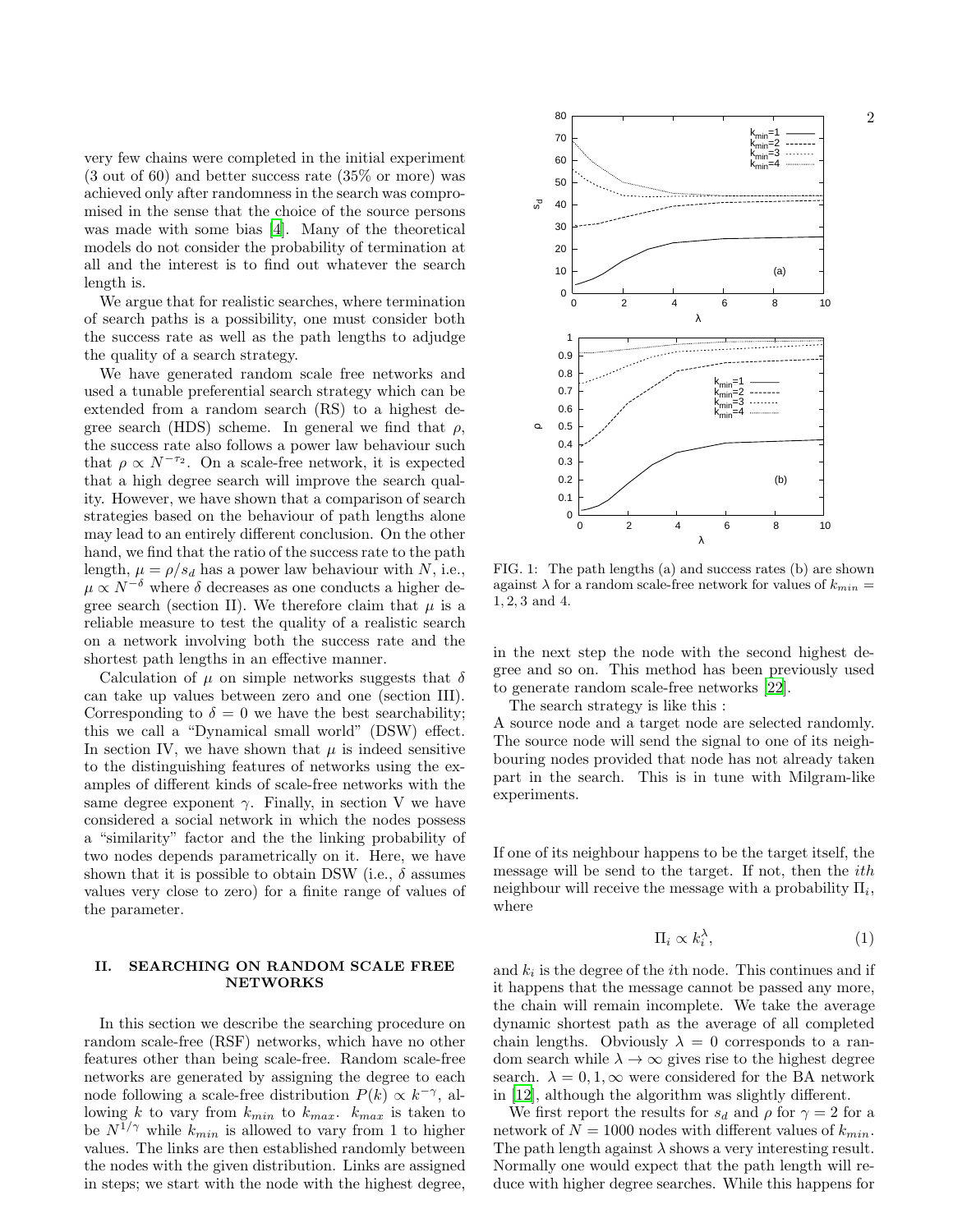very few chains were completed in the initial experiment (3 out of 60) and better success rate (35% or more) was achieved only after randomness in the search was compromised in the sense that the choice of the source persons was made with some bias [\[4\]](#page-6-3). Many of the theoretical models do not consider the probability of termination at all and the interest is to find out whatever the search length is.

We argue that for realistic searches, where termination of search paths is a possibility, one must consider both the success rate as well as the path lengths to adjudge the quality of a search strategy.

We have generated random scale free networks and used a tunable preferential search strategy which can be extended from a random search (RS) to a highest degree search (HDS) scheme. In general we find that  $\rho$ , the success rate also follows a power law behaviour such that  $\rho \propto N^{-\tau_2}$ . On a scale-free network, it is expected that a high degree search will improve the search quality. However, we have shown that a comparison of search strategies based on the behaviour of path lengths alone may lead to an entirely different conclusion. On the other hand, we find that the ratio of the success rate to the path length,  $\mu = \rho/s_d$  has a power law behaviour with N, i.e.,  $\mu \propto N^{-\delta}$  where  $\delta$  decreases as one conducts a higher degree search (section II). We therefore claim that  $\mu$  is a reliable measure to test the quality of a realistic search on a network involving both the success rate and the shortest path lengths in an effective manner.

Calculation of  $\mu$  on simple networks suggests that  $\delta$ can take up values between zero and one (section III). Corresponding to  $\delta = 0$  we have the best searchability; this we call a "Dynamical small world" (DSW) effect. In section IV, we have shown that  $\mu$  is indeed sensitive to the distinguishing features of networks using the examples of different kinds of scale-free networks with the same degree exponent  $\gamma$ . Finally, in section V we have considered a social network in which the nodes possess a "similarity" factor and the the linking probability of two nodes depends parametrically on it. Here, we have shown that it is possible to obtain DSW (i.e.,  $\delta$  assumes values very close to zero) for a finite range of values of the parameter.

## II. SEARCHING ON RANDOM SCALE FREE NETWORKS

In this section we describe the searching procedure on random scale-free (RSF) networks, which have no other features other than being scale-free. Random scale-free networks are generated by assigning the degree to each node following a scale-free distribution  $P(k) \propto k^{-\gamma}$ , allowing k to vary from  $k_{min}$  to  $k_{max}$ .  $k_{max}$  is taken to be  $N^{1/\gamma}$  while  $k_{min}$  is allowed to vary from 1 to higher values. The links are then established randomly between the nodes with the given distribution. Links are assigned in steps; we start with the node with the highest degree,



FIG. 1: The path lengths (a) and success rates (b) are shown against  $\lambda$  for a random scale-free network for values of  $k_{min}$  = 1, 2, 3 and 4.

in the next step the node with the second highest degree and so on. This method has been previously used to generate random scale-free networks [\[22](#page-6-21)].

The search strategy is like this :

A source node and a target node are selected randomly. The source node will send the signal to one of its neighbouring nodes provided that node has not already taken part in the search. This is in tune with Milgram-like experiments.

If one of its neighbour happens to be the target itself, the message will be send to the target. If not, then the ith neighbour will receive the message with a probability  $\Pi_i$ , where

$$
\Pi_i \propto k_i^{\lambda},\tag{1}
$$

and  $k_i$  is the degree of the *i*<sup>th</sup> node. This continues and if it happens that the message cannot be passed any more, the chain will remain incomplete. We take the average dynamic shortest path as the average of all completed chain lengths. Obviously  $\lambda = 0$  corresponds to a random search while  $\lambda \to \infty$  gives rise to the highest degree search.  $\lambda = 0, 1, \infty$  were considered for the BA network in [\[12\]](#page-6-11), although the algorithm was slightly different.

We first report the results for  $s_d$  and  $\rho$  for  $\gamma = 2$  for a network of  $N = 1000$  nodes with different values of  $k_{min}$ . The path length against  $\lambda$  shows a very interesting result. Normally one would expect that the path length will reduce with higher degree searches. While this happens for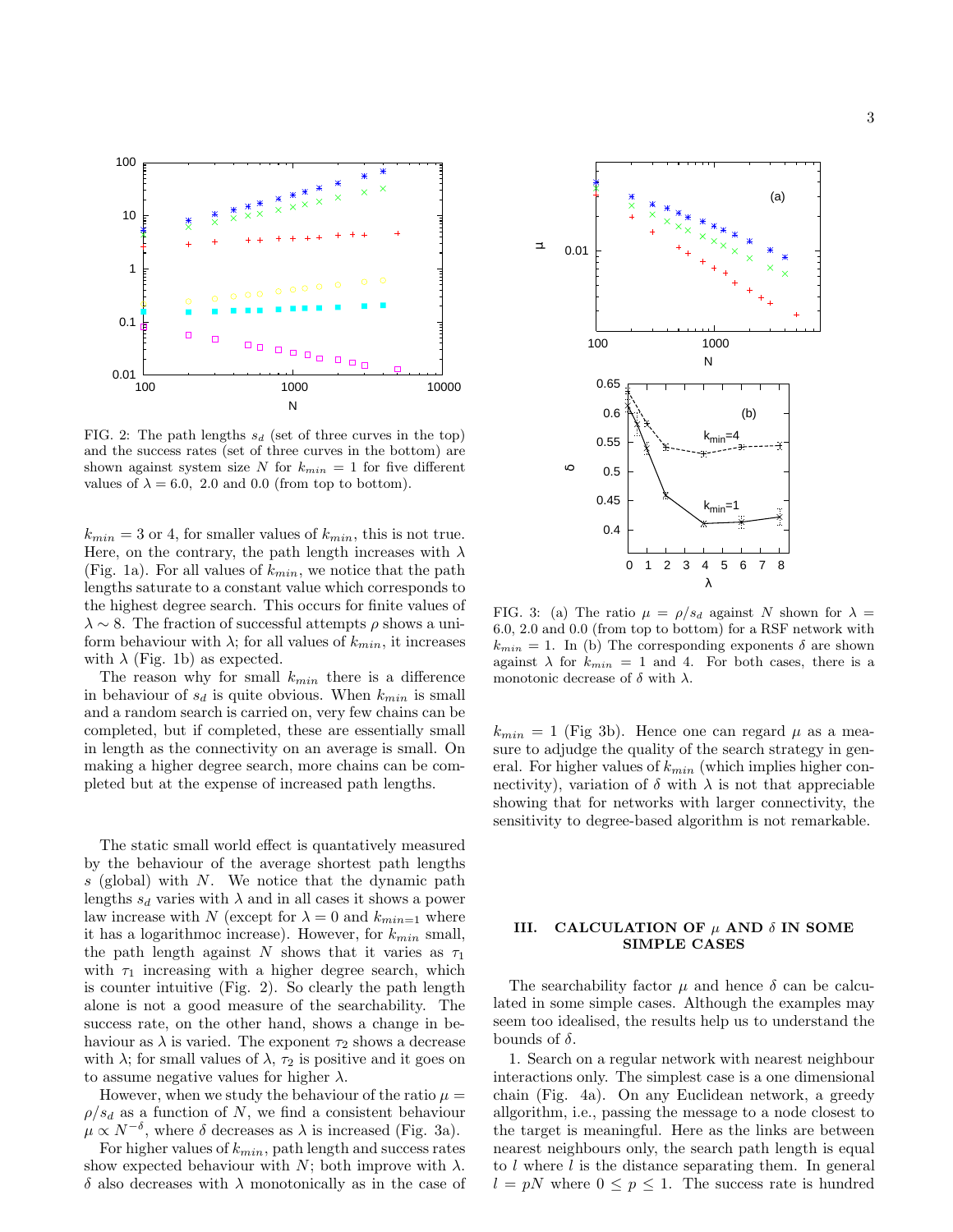



FIG. 2: The path lengths  $s_d$  (set of three curves in the top) and the success rates (set of three curves in the bottom) are shown against system size N for  $k_{min} = 1$  for five different values of  $\lambda = 6.0, 2.0$  and 0.0 (from top to bottom).

 $k_{min} = 3$  or 4, for smaller values of  $k_{min}$ , this is not true. Here, on the contrary, the path length increases with  $\lambda$ (Fig. 1a). For all values of  $k_{min}$ , we notice that the path lengths saturate to a constant value which corresponds to the highest degree search. This occurs for finite values of  $\lambda \sim 8$ . The fraction of successful attempts  $\rho$  shows a uniform behaviour with  $\lambda$ ; for all values of  $k_{min}$ , it increases with  $\lambda$  (Fig. 1b) as expected.

The reason why for small  $k_{min}$  there is a difference in behaviour of  $s_d$  is quite obvious. When  $k_{min}$  is small and a random search is carried on, very few chains can be completed, but if completed, these are essentially small in length as the connectivity on an average is small. On making a higher degree search, more chains can be completed but at the expense of increased path lengths.

The static small world effect is quantatively measured by the behaviour of the average shortest path lengths  $s$  (global) with  $N$ . We notice that the dynamic path lengths  $s_d$  varies with  $\lambda$  and in all cases it shows a power law increase with N (except for  $\lambda = 0$  and  $k_{min=1}$  where it has a logarithmoc increase). However, for  $k_{min}$  small, the path length against N shows that it varies as  $\tau_1$ with  $\tau_1$  increasing with a higher degree search, which is counter intuitive (Fig. 2). So clearly the path length alone is not a good measure of the searchability. The success rate, on the other hand, shows a change in behaviour as  $\lambda$  is varied. The exponent  $\tau_2$  shows a decrease with  $\lambda$ ; for small values of  $\lambda$ ,  $\tau_2$  is positive and it goes on to assume negative values for higher  $\lambda$ .

However, when we study the behaviour of the ratio  $\mu =$  $\rho/s_d$  as a function of N, we find a consistent behaviour  $\mu \propto N^{-\delta}$ , where  $\delta$  decreases as  $\lambda$  is increased (Fig. 3a).

For higher values of  $k_{min}$ , path length and success rates show expected behaviour with N; both improve with  $\lambda$ .  $\delta$  also decreases with  $\lambda$  monotonically as in the case of



FIG. 3: (a) The ratio  $\mu = \rho/s_d$  against N shown for  $\lambda =$ 6.0, 2.0 and 0.0 (from top to bottom) for a RSF network with  $k_{min} = 1$ . In (b) The corresponding exponents  $\delta$  are shown against  $\lambda$  for  $k_{min} = 1$  and 4. For both cases, there is a monotonic decrease of  $\delta$  with  $\lambda$ .

 $k_{min} = 1$  (Fig 3b). Hence one can regard  $\mu$  as a measure to adjudge the quality of the search strategy in general. For higher values of  $k_{min}$  (which implies higher connectivity), variation of  $\delta$  with  $\lambda$  is not that appreciable showing that for networks with larger connectivity, the sensitivity to degree-based algorithm is not remarkable.

## III. CALCULATION OF  $\mu$  AND  $\delta$  IN SOME SIMPLE CASES

The searchability factor  $\mu$  and hence  $\delta$  can be calculated in some simple cases. Although the examples may seem too idealised, the results help us to understand the bounds of  $\delta$ .

1. Search on a regular network with nearest neighbour interactions only. The simplest case is a one dimensional chain (Fig. 4a). On any Euclidean network, a greedy allgorithm, i.e., passing the message to a node closest to the target is meaningful. Here as the links are between nearest neighbours only, the search path length is equal to l where l is the distance separating them. In general  $l = pN$  where  $0 \leq p \leq 1$ . The success rate is hundred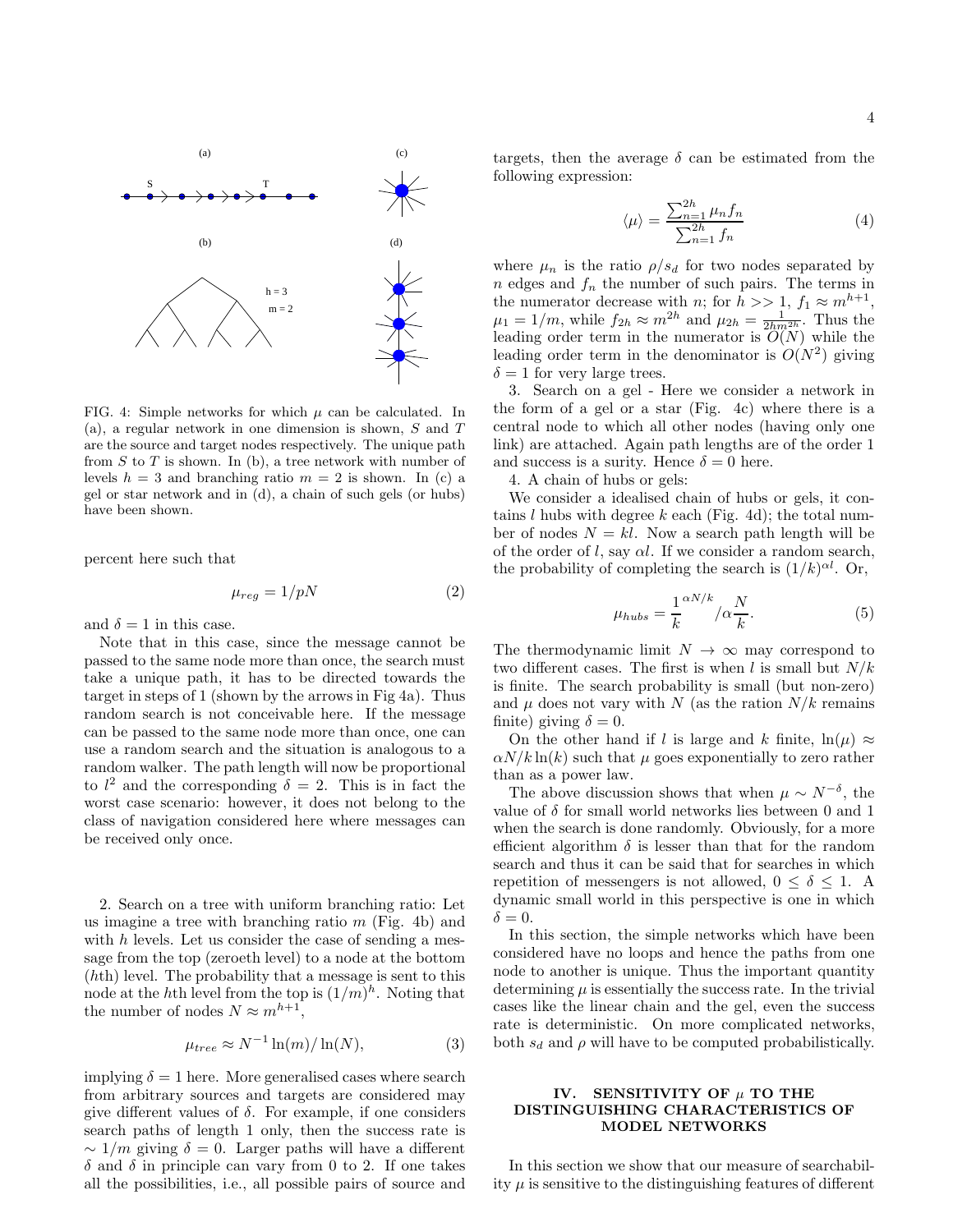

FIG. 4: Simple networks for which  $\mu$  can be calculated. In (a), a regular network in one dimension is shown,  $S$  and  $T$ are the source and target nodes respectively. The unique path from  $S$  to  $T$  is shown. In (b), a tree network with number of levels  $h = 3$  and branching ratio  $m = 2$  is shown. In (c) a gel or star network and in (d), a chain of such gels (or hubs) have been shown.

percent here such that

$$
\mu_{reg} = 1/pN \tag{2}
$$

and  $\delta = 1$  in this case.

Note that in this case, since the message cannot be passed to the same node more than once, the search must take a unique path, it has to be directed towards the target in steps of 1 (shown by the arrows in Fig 4a). Thus random search is not conceivable here. If the message can be passed to the same node more than once, one can use a random search and the situation is analogous to a random walker. The path length will now be proportional to  $l^2$  and the corresponding  $\delta = 2$ . This is in fact the worst case scenario: however, it does not belong to the class of navigation considered here where messages can be received only once.

2. Search on a tree with uniform branching ratio: Let us imagine a tree with branching ratio  $m$  (Fig. 4b) and with  $h$  levels. Let us consider the case of sending a message from the top (zeroeth level) to a node at the bottom (hth) level. The probability that a message is sent to this node at the hth level from the top is  $(1/m)^h$ . Noting that the number of nodes  $N \approx m^{h+1}$ ,

$$
\mu_{tree} \approx N^{-1} \ln(m) / \ln(N), \tag{3}
$$

implying  $\delta = 1$  here. More generalised cases where search from arbitrary sources and targets are considered may give different values of  $\delta$ . For example, if one considers search paths of length 1 only, then the success rate is  $\sim 1/m$  giving  $\delta = 0$ . Larger paths will have a different  $\delta$  and  $\delta$  in principle can vary from 0 to 2. If one takes all the possibilities, i.e., all possible pairs of source and

targets, then the average  $\delta$  can be estimated from the following expression:

$$
\langle \mu \rangle = \frac{\sum_{n=1}^{2h} \mu_n f_n}{\sum_{n=1}^{2h} f_n} \tag{4}
$$

where  $\mu_n$  is the ratio  $\rho/s_d$  for two nodes separated by  $n$  edges and  $f_n$  the number of such pairs. The terms in the numerator decrease with *n*; for  $h \gg 1$ ,  $f_1 \approx m^{h+1}$ ,  $\mu_1 = 1/m$ , while  $f_{2h} \approx m^{2h}$  and  $\mu_{2h} = \frac{1}{2h m^{2h}}$ . Thus the leading order term in the numerator is  $O(N)$  while the leading order term in the denominator is  $O(N^2)$  giving  $\delta = 1$  for very large trees.

3. Search on a gel - Here we consider a network in the form of a gel or a star (Fig. 4c) where there is a central node to which all other nodes (having only one link) are attached. Again path lengths are of the order 1 and success is a surity. Hence  $\delta = 0$  here.

4. A chain of hubs or gels:

We consider a idealised chain of hubs or gels, it contains l hubs with degree k each (Fig. 4d); the total number of nodes  $N = kl$ . Now a search path length will be of the order of l, say  $\alpha l$ . If we consider a random search, the probability of completing the search is  $(1/k)^{\alpha l}$ . Or,

$$
\mu_{hubs} = \frac{1}{k}^{\alpha N/k} / \alpha \frac{N}{k}.
$$
\n(5)

The thermodynamic limit  $N \to \infty$  may correspond to two different cases. The first is when l is small but  $N/k$ is finite. The search probability is small (but non-zero) and  $\mu$  does not vary with N (as the ration  $N/k$  remains finite) giving  $\delta = 0$ .

On the other hand if l is large and k finite,  $ln(\mu) \approx$  $\alpha N/k \ln(k)$  such that  $\mu$  goes exponentially to zero rather than as a power law.

The above discussion shows that when  $\mu \sim N^{-\delta}$ , the value of  $\delta$  for small world networks lies between 0 and 1 when the search is done randomly. Obviously, for a more efficient algorithm  $\delta$  is lesser than that for the random search and thus it can be said that for searches in which repetition of messengers is not allowed,  $0 \le \delta \le 1$ . A dynamic small world in this perspective is one in which  $\delta = 0.$ 

In this section, the simple networks which have been considered have no loops and hence the paths from one node to another is unique. Thus the important quantity determining  $\mu$  is essentially the success rate. In the trivial cases like the linear chain and the gel, even the success rate is deterministic. On more complicated networks, both  $s_d$  and  $\rho$  will have to be computed probabilistically.

## IV. SENSITIVITY OF  $\mu$  TO THE DISTINGUISHING CHARACTERISTICS OF MODEL NETWORKS

In this section we show that our measure of searchability  $\mu$  is sensitive to the distinguishing features of different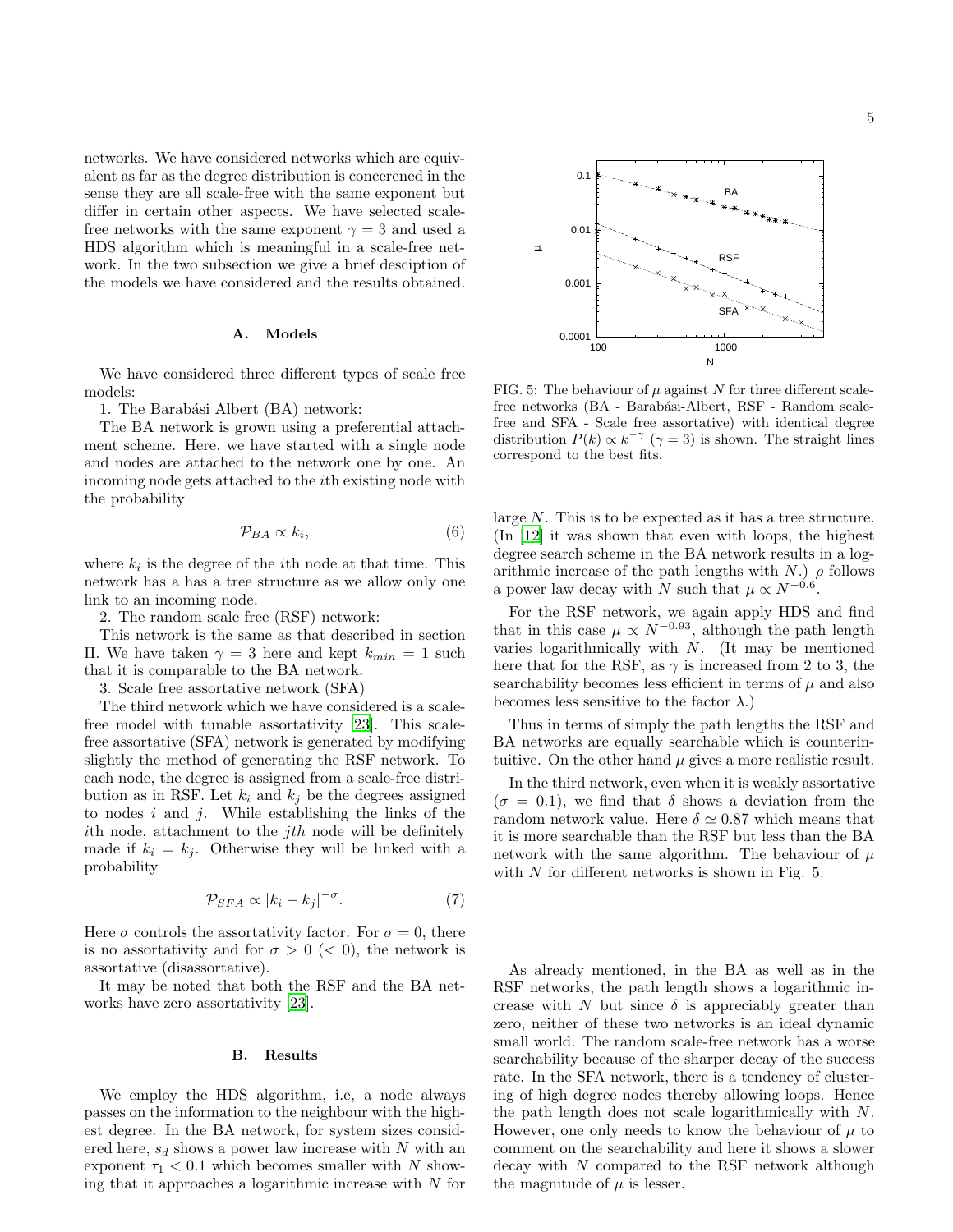networks. We have considered networks which are equivalent as far as the degree distribution is concerened in the sense they are all scale-free with the same exponent but differ in certain other aspects. We have selected scalefree networks with the same exponent  $\gamma = 3$  and used a HDS algorithm which is meaningful in a scale-free network. In the two subsection we give a brief desciption of the models we have considered and the results obtained.

### A. Models

We have considered three different types of scale free models:

1. The Barabási Albert (BA) network:

The BA network is grown using a preferential attachment scheme. Here, we have started with a single node and nodes are attached to the network one by one. An incoming node gets attached to the ith existing node with the probability

$$
\mathcal{P}_{BA} \propto k_i,\tag{6}
$$

where  $k_i$  is the degree of the *i*<sup>th</sup> node at that time. This network has a has a tree structure as we allow only one link to an incoming node.

2. The random scale free (RSF) network:

This network is the same as that described in section II. We have taken  $\gamma = 3$  here and kept  $k_{min} = 1$  such that it is comparable to the BA network.

3. Scale free assortative network (SFA)

The third network which we have considered is a scalefree model with tunable assortativity [\[23\]](#page-6-22). This scalefree assortative (SFA) network is generated by modifying slightly the method of generating the RSF network. To each node, the degree is assigned from a scale-free distribution as in RSF. Let  $k_i$  and  $k_j$  be the degrees assigned to nodes  $i$  and  $j$ . While establishing the links of the ith node, attachment to the  $jth$  node will be definitely made if  $k_i = k_j$ . Otherwise they will be linked with a probability

$$
\mathcal{P}_{SFA} \propto |k_i - k_j|^{-\sigma}.
$$
 (7)

Here  $\sigma$  controls the assortativity factor. For  $\sigma = 0$ , there is no assortativity and for  $\sigma > 0 \ (< 0)$ , the network is assortative (disassortative).

It may be noted that both the RSF and the BA networks have zero assortativity [\[23\]](#page-6-22).

#### B. Results

We employ the HDS algorithm, i.e, a node always passes on the information to the neighbour with the highest degree. In the BA network, for system sizes considered here,  $s_d$  shows a power law increase with N with an exponent  $\tau_1$  < 0.1 which becomes smaller with N showing that it approaches a logarithmic increase with  $N$  for



FIG. 5: The behaviour of  $\mu$  against N for three different scalefree networks (BA - Barabási-Albert, RSF - Random scalefree and SFA - Scale free assortative) with identical degree distribution  $P(k) \propto k^{-\gamma}$  ( $\gamma = 3$ ) is shown. The straight lines correspond to the best fits.

large N. This is to be expected as it has a tree structure. (In [\[12\]](#page-6-11) it was shown that even with loops, the highest degree search scheme in the BA network results in a logarithmic increase of the path lengths with N.)  $\rho$  follows a power law decay with N such that  $\mu \propto N^{-0.6}$ .

For the RSF network, we again apply HDS and find that in this case  $\mu \propto N^{-0.93}$ , although the path length varies logarithmically with  $N$ . (It may be mentioned here that for the RSF, as  $\gamma$  is increased from 2 to 3, the searchability becomes less efficient in terms of  $\mu$  and also becomes less sensitive to the factor  $\lambda$ .)

Thus in terms of simply the path lengths the RSF and BA networks are equally searchable which is counterintuitive. On the other hand  $\mu$  gives a more realistic result.

In the third network, even when it is weakly assortative  $(\sigma = 0.1)$ , we find that  $\delta$  shows a deviation from the random network value. Here  $\delta \simeq 0.87$  which means that it is more searchable than the RSF but less than the BA network with the same algorithm. The behaviour of  $\mu$ with  $N$  for different networks is shown in Fig. 5.

As already mentioned, in the BA as well as in the RSF networks, the path length shows a logarithmic increase with N but since  $\delta$  is appreciably greater than zero, neither of these two networks is an ideal dynamic small world. The random scale-free network has a worse searchability because of the sharper decay of the success rate. In the SFA network, there is a tendency of clustering of high degree nodes thereby allowing loops. Hence the path length does not scale logarithmically with N. However, one only needs to know the behaviour of  $\mu$  to comment on the searchability and here it shows a slower  $decay$  with  $N$  compared to the RSF network although the magnitude of  $\mu$  is lesser.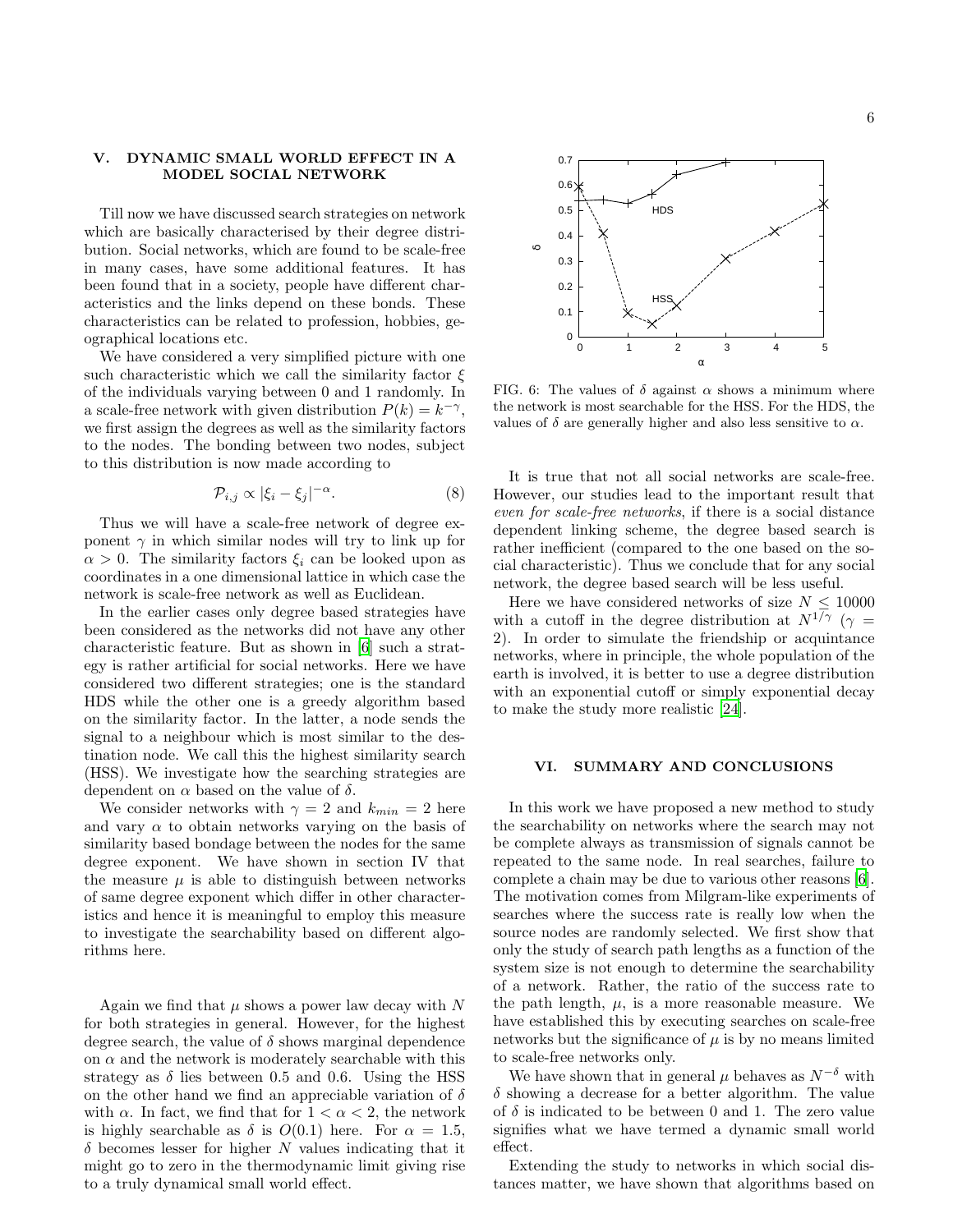## V. DYNAMIC SMALL WORLD EFFECT IN A MODEL SOCIAL NETWORK

Till now we have discussed search strategies on network which are basically characterised by their degree distribution. Social networks, which are found to be scale-free in many cases, have some additional features. It has been found that in a society, people have different characteristics and the links depend on these bonds. These characteristics can be related to profession, hobbies, geographical locations etc.

We have considered a very simplified picture with one such characteristic which we call the similarity factor  $\xi$ of the individuals varying between 0 and 1 randomly. In a scale-free network with given distribution  $P(k) = k^{-\gamma}$ , we first assign the degrees as well as the similarity factors to the nodes. The bonding between two nodes, subject to this distribution is now made according to

$$
\mathcal{P}_{i,j} \propto |\xi_i - \xi_j|^{-\alpha}.\tag{8}
$$

Thus we will have a scale-free network of degree exponent  $\gamma$  in which similar nodes will try to link up for  $\alpha > 0$ . The similarity factors  $\xi_i$  can be looked upon as coordinates in a one dimensional lattice in which case the network is scale-free network as well as Euclidean.

In the earlier cases only degree based strategies have been considered as the networks did not have any other characteristic feature. But as shown in [\[6](#page-6-5)] such a strategy is rather artificial for social networks. Here we have considered two different strategies; one is the standard HDS while the other one is a greedy algorithm based on the similarity factor. In the latter, a node sends the signal to a neighbour which is most similar to the destination node. We call this the highest similarity search (HSS). We investigate how the searching strategies are dependent on  $\alpha$  based on the value of  $\delta$ .

We consider networks with  $\gamma = 2$  and  $k_{min} = 2$  here and vary  $\alpha$  to obtain networks varying on the basis of similarity based bondage between the nodes for the same degree exponent. We have shown in section IV that the measure  $\mu$  is able to distinguish between networks of same degree exponent which differ in other characteristics and hence it is meaningful to employ this measure to investigate the searchability based on different algorithms here.

Again we find that  $\mu$  shows a power law decay with N for both strategies in general. However, for the highest degree search, the value of  $\delta$  shows marginal dependence on  $\alpha$  and the network is moderately searchable with this strategy as  $\delta$  lies between 0.5 and 0.6. Using the HSS on the other hand we find an appreciable variation of  $\delta$ with  $\alpha$ . In fact, we find that for  $1 < \alpha < 2$ , the network is highly searchable as  $\delta$  is  $O(0.1)$  here. For  $\alpha = 1.5$ ,  $\delta$  becomes lesser for higher N values indicating that it might go to zero in the thermodynamic limit giving rise to a truly dynamical small world effect.



FIG. 6: The values of  $\delta$  against  $\alpha$  shows a minimum where the network is most searchable for the HSS. For the HDS, the values of  $\delta$  are generally higher and also less sensitive to  $\alpha$ .

It is true that not all social networks are scale-free. However, our studies lead to the important result that even for scale-free networks, if there is a social distance dependent linking scheme, the degree based search is rather inefficient (compared to the one based on the social characteristic). Thus we conclude that for any social network, the degree based search will be less useful.

Here we have considered networks of size  $N \leq 10000$ with a cutoff in the degree distribution at  $N^{1/\gamma}$  ( $\gamma =$ 2). In order to simulate the friendship or acquintance networks, where in principle, the whole population of the earth is involved, it is better to use a degree distribution with an exponential cutoff or simply exponential decay to make the study more realistic [\[24\]](#page-6-23).

## VI. SUMMARY AND CONCLUSIONS

In this work we have proposed a new method to study the searchability on networks where the search may not be complete always as transmission of signals cannot be repeated to the same node. In real searches, failure to complete a chain may be due to various other reasons [\[6\]](#page-6-5). The motivation comes from Milgram-like experiments of searches where the success rate is really low when the source nodes are randomly selected. We first show that only the study of search path lengths as a function of the system size is not enough to determine the searchability of a network. Rather, the ratio of the success rate to the path length,  $\mu$ , is a more reasonable measure. We have established this by executing searches on scale-free networks but the significance of  $\mu$  is by no means limited to scale-free networks only.

We have shown that in general  $\mu$  behaves as  $N^{-\delta}$  with  $\delta$  showing a decrease for a better algorithm. The value of  $\delta$  is indicated to be between 0 and 1. The zero value signifies what we have termed a dynamic small world effect.

Extending the study to networks in which social distances matter, we have shown that algorithms based on